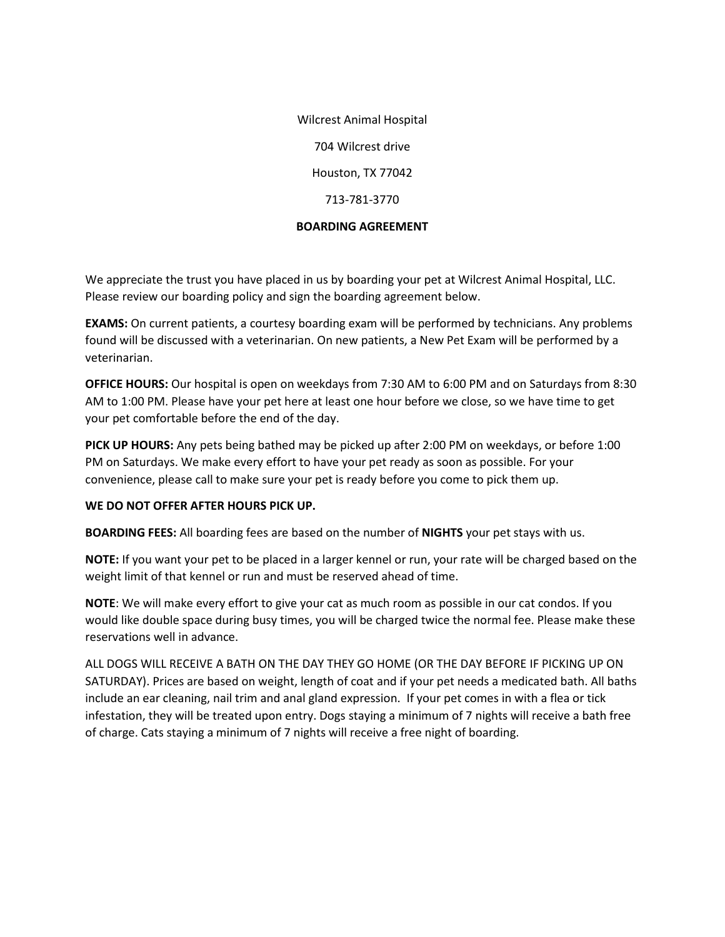Wilcrest Animal Hospital 704 Wilcrest drive Houston, TX 77042 713-781-3770

### **BOARDING AGREEMENT**

We appreciate the trust you have placed in us by boarding your pet at Wilcrest Animal Hospital, LLC. Please review our boarding policy and sign the boarding agreement below.

**EXAMS:** On current patients, a courtesy boarding exam will be performed by technicians. Any problems found will be discussed with a veterinarian. On new patients, a New Pet Exam will be performed by a veterinarian.

**OFFICE HOURS:** Our hospital is open on weekdays from 7:30 AM to 6:00 PM and on Saturdays from 8:30 AM to 1:00 PM. Please have your pet here at least one hour before we close, so we have time to get your pet comfortable before the end of the day.

**PICK UP HOURS:** Any pets being bathed may be picked up after 2:00 PM on weekdays, or before 1:00 PM on Saturdays. We make every effort to have your pet ready as soon as possible. For your convenience, please call to make sure your pet is ready before you come to pick them up.

## **WE DO NOT OFFER AFTER HOURS PICK UP.**

**BOARDING FEES:** All boarding fees are based on the number of **NIGHTS** your pet stays with us.

**NOTE:** If you want your pet to be placed in a larger kennel or run, your rate will be charged based on the weight limit of that kennel or run and must be reserved ahead of time.

**NOTE**: We will make every effort to give your cat as much room as possible in our cat condos. If you would like double space during busy times, you will be charged twice the normal fee. Please make these reservations well in advance.

ALL DOGS WILL RECEIVE A BATH ON THE DAY THEY GO HOME (OR THE DAY BEFORE IF PICKING UP ON SATURDAY). Prices are based on weight, length of coat and if your pet needs a medicated bath. All baths include an ear cleaning, nail trim and anal gland expression. If your pet comes in with a flea or tick infestation, they will be treated upon entry. Dogs staying a minimum of 7 nights will receive a bath free of charge. Cats staying a minimum of 7 nights will receive a free night of boarding.